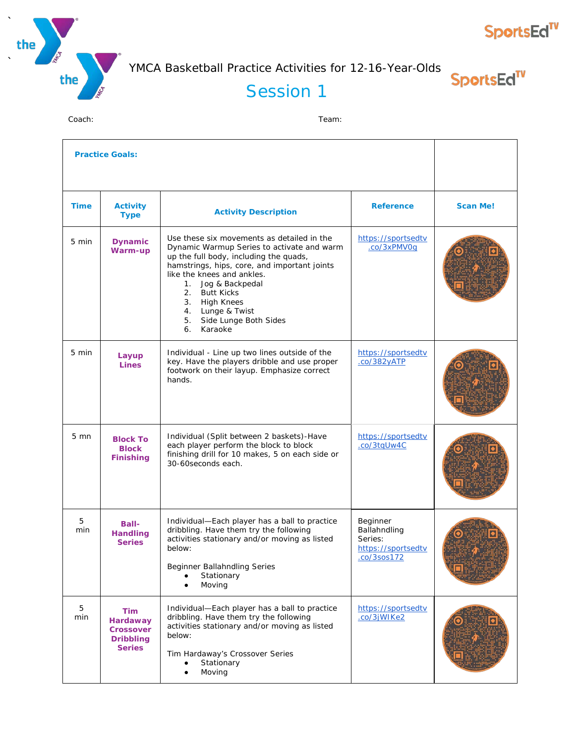



**SportsEd<sup>TV</sup>** 

## Session 1

|                 | <b>Practice Goals:</b>                                                          |                                                                                                                                                                                                                                                                                                                                                     |                                                                          |                 |
|-----------------|---------------------------------------------------------------------------------|-----------------------------------------------------------------------------------------------------------------------------------------------------------------------------------------------------------------------------------------------------------------------------------------------------------------------------------------------------|--------------------------------------------------------------------------|-----------------|
| <b>Time</b>     | <b>Activity</b><br><b>Type</b>                                                  | <b>Activity Description</b>                                                                                                                                                                                                                                                                                                                         | <b>Reference</b>                                                         | <b>Scan Me!</b> |
| 5 min           | <b>Dynamic</b><br>Warm-up                                                       | Use these six movements as detailed in the<br>Dynamic Warmup Series to activate and warm<br>up the full body, including the quads,<br>hamstrings, hips, core, and important joints<br>like the knees and ankles.<br>1. Jog & Backpedal<br>2.<br><b>Butt Kicks</b><br>3. High Knees<br>4. Lunge & Twist<br>5. Side Lunge Both Sides<br>Karaoke<br>6. | https://sportsedtv<br>.co/3xPMV0q                                        |                 |
| $5 \text{ min}$ | Layup<br><b>Lines</b>                                                           | Individual - Line up two lines outside of the<br>key. Have the players dribble and use proper<br>footwork on their layup. Emphasize correct<br>hands.                                                                                                                                                                                               | https://sportsedtv<br>$.$ $co/382$ $VATP$                                |                 |
| $5 \text{ mm}$  | <b>Block To</b><br><b>Block</b><br><b>Finishing</b>                             | Individual (Split between 2 baskets)-Have<br>each player perform the block to block<br>finishing drill for 10 makes, 5 on each side or<br>30-60 seconds each.                                                                                                                                                                                       | https://sportsedtv<br>.co/3tqUw4C                                        |                 |
| 5<br>min        | <b>Ball-</b><br><b>Handling</b><br><b>Series</b>                                | Individual-Each player has a ball to practice<br>dribbling. Have them try the following<br>activities stationary and/or moving as listed<br>below:<br>Beginner Ballahndling Series<br>Stationary<br>Moving                                                                                                                                          | Beginner<br>Ballahndling<br>Series:<br>https://sportsedtv<br>.co/3sos172 |                 |
| 5<br>min        | Tim<br><b>Hardaway</b><br><b>Crossover</b><br><b>Dribbling</b><br><b>Series</b> | Individual-Each player has a ball to practice<br>dribbling. Have them try the following<br>activities stationary and/or moving as listed<br>below:<br>Tim Hardaway's Crossover Series<br>Stationary<br>Moving<br>$\bullet$                                                                                                                          | https://sportsedtv<br>.co/3jWIKe2                                        |                 |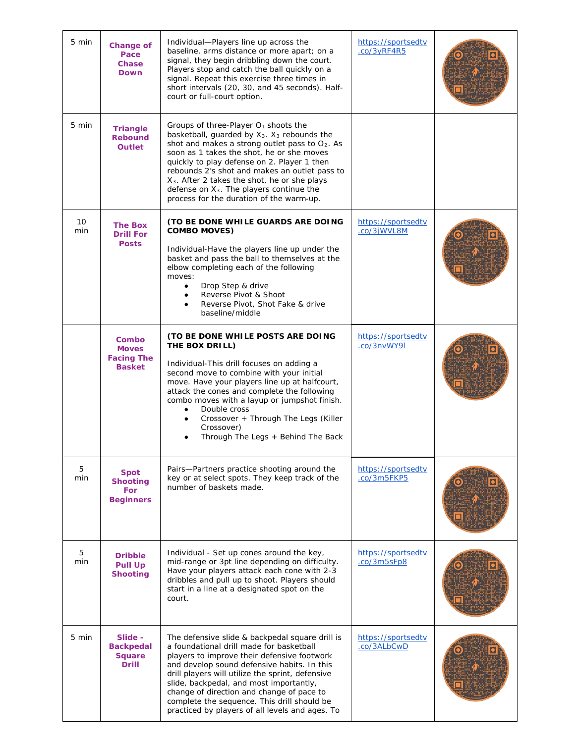| 5 min     | <b>Change of</b><br>Pace<br><b>Chase</b><br><b>Down</b>          | Individual-Players line up across the<br>baseline, arms distance or more apart; on a<br>signal, they begin dribbling down the court.<br>Players stop and catch the ball quickly on a<br>signal. Repeat this exercise three times in<br>short intervals (20, 30, and 45 seconds). Half-<br>court or full-court option.                                                                                                                                      | https://sportsedtv<br>.co/3yRF4R5 |  |
|-----------|------------------------------------------------------------------|------------------------------------------------------------------------------------------------------------------------------------------------------------------------------------------------------------------------------------------------------------------------------------------------------------------------------------------------------------------------------------------------------------------------------------------------------------|-----------------------------------|--|
| 5 min     | <b>Triangle</b><br><b>Rebound</b><br><b>Outlet</b>               | Groups of three-Player $O_1$ shoots the<br>basketball, guarded by $X_3$ . $X_3$ rebounds the<br>shot and makes a strong outlet pass to O2. As<br>soon as 1 takes the shot, he or she moves<br>quickly to play defense on 2. Player 1 then<br>rebounds 2's shot and makes an outlet pass to<br>X <sub>3</sub> . After 2 takes the shot, he or she plays<br>defense on X <sub>3</sub> . The players continue the<br>process for the duration of the warm-up. |                                   |  |
| 10<br>min | <b>The Box</b><br><b>Drill For</b><br><b>Posts</b>               | (TO BE DONE WHILE GUARDS ARE DOING<br><b>COMBO MOVES)</b><br>Individual-Have the players line up under the<br>basket and pass the ball to themselves at the<br>elbow completing each of the following<br>moves:<br>Drop Step & drive<br>Reverse Pivot & Shoot<br>$\bullet$<br>Reverse Pivot, Shot Fake & drive<br>baseline/middle                                                                                                                          | https://sportsedtv<br>.co/3jWVL8M |  |
|           | Combo<br><b>Moves</b><br><b>Facing The</b><br><b>Basket</b>      | (TO BE DONE WHILE POSTS ARE DOING<br>THE BOX DRILL)<br>Individual-This drill focuses on adding a<br>second move to combine with your initial<br>move. Have your players line up at halfcourt,<br>attack the cones and complete the following<br>combo moves with a layup or jumpshot finish.<br>Double cross<br>Crossover + Through The Legs (Killer<br>$\bullet$<br>Crossover)<br>Through The Legs + Behind The Back                                      | https://sportsedtv<br>.co/3nvWY9I |  |
| 5<br>min  | <b>Spot</b><br><b>Shooting</b><br><b>For</b><br><b>Beginners</b> | Pairs-Partners practice shooting around the<br>key or at select spots. They keep track of the<br>number of baskets made.                                                                                                                                                                                                                                                                                                                                   | https://sportsedtv<br>.co/3m5FKP5 |  |
| 5<br>min  | <b>Dribble</b><br><b>Pull Up</b><br><b>Shooting</b>              | Individual - Set up cones around the key,<br>mid-range or 3pt line depending on difficulty.<br>Have your players attack each cone with 2-3<br>dribbles and pull up to shoot. Players should<br>start in a line at a designated spot on the<br>court.                                                                                                                                                                                                       | https://sportsedtv<br>.co/3m5sFp8 |  |
| 5 min     | Slide -<br><b>Backpedal</b><br><b>Square</b><br><b>Drill</b>     | The defensive slide & backpedal square drill is<br>a foundational drill made for basketball<br>players to improve their defensive footwork<br>and develop sound defensive habits. In this<br>drill players will utilize the sprint, defensive<br>slide, backpedal, and most importantly,<br>change of direction and change of pace to<br>complete the sequence. This drill should be<br>practiced by players of all levels and ages. To                    | https://sportsedtv<br>.co/3ALbCwD |  |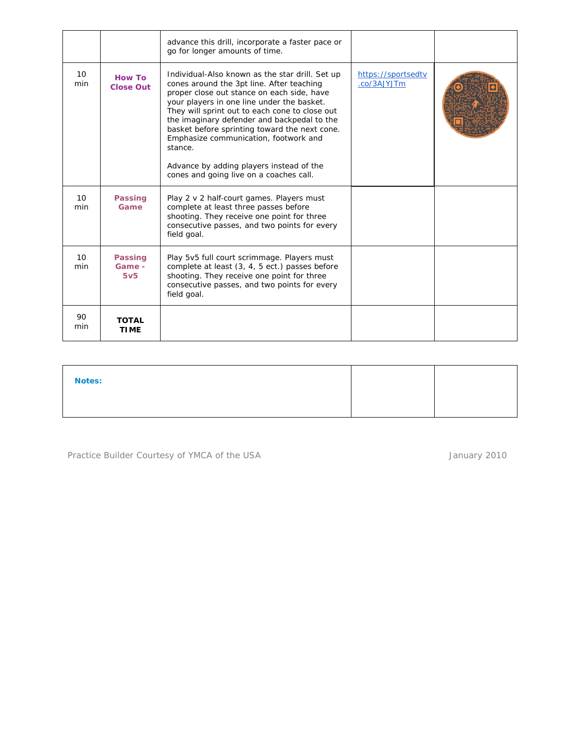|                        |                                             | advance this drill, incorporate a faster pace or<br>go for longer amounts of time.                                                                                                                                                                                                                                                                                                                                                                                                    |                                   |  |
|------------------------|---------------------------------------------|---------------------------------------------------------------------------------------------------------------------------------------------------------------------------------------------------------------------------------------------------------------------------------------------------------------------------------------------------------------------------------------------------------------------------------------------------------------------------------------|-----------------------------------|--|
| 10 <sup>°</sup><br>min | <b>How To</b><br><b>Close Out</b>           | Individual-Also known as the star drill. Set up<br>cones around the 3pt line. After teaching<br>proper close out stance on each side, have<br>your players in one line under the basket.<br>They will sprint out to each cone to close out<br>the imaginary defender and backpedal to the<br>basket before sprinting toward the next cone.<br>Emphasize communication, footwork and<br>stance.<br>Advance by adding players instead of the<br>cones and going live on a coaches call. | https://sportsedtv<br>.co/3AJYJTm |  |
| 10<br>min              | <b>Passing</b><br>Game                      | Play 2 v 2 half-court games. Players must<br>complete at least three passes before<br>shooting. They receive one point for three<br>consecutive passes, and two points for every<br>field goal.                                                                                                                                                                                                                                                                                       |                                   |  |
| 10<br>min              | <b>Passing</b><br>Game -<br>5v <sub>5</sub> | Play 5v5 full court scrimmage. Players must<br>complete at least (3, 4, 5 ect.) passes before<br>shooting. They receive one point for three<br>consecutive passes, and two points for every<br>field goal.                                                                                                                                                                                                                                                                            |                                   |  |
| 90<br>min              | <b>TOTAL</b><br><b>TIME</b>                 |                                                                                                                                                                                                                                                                                                                                                                                                                                                                                       |                                   |  |

| <b>Notes:</b> |  |
|---------------|--|
|               |  |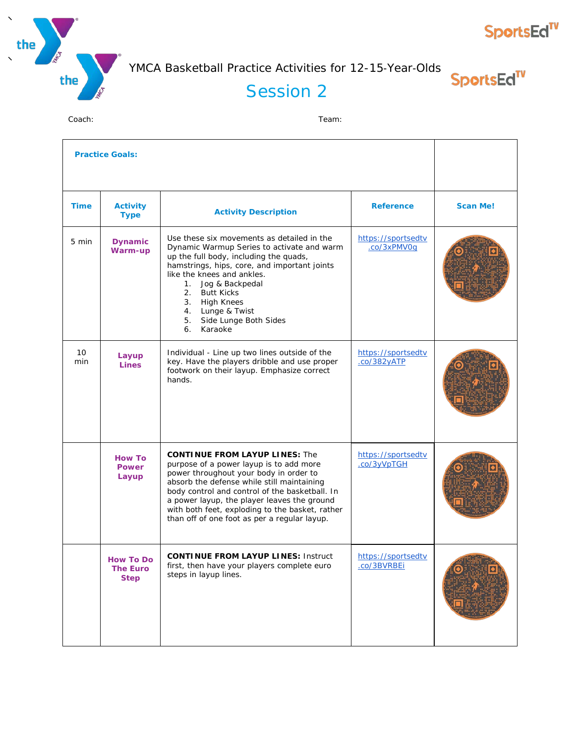



SportsEd<sup>TV</sup>

#### Session 2

| <b>Practice Goals:</b> |                                                    |                                                                                                                                                                                                                                                                                                                                                                              |                                          |                 |
|------------------------|----------------------------------------------------|------------------------------------------------------------------------------------------------------------------------------------------------------------------------------------------------------------------------------------------------------------------------------------------------------------------------------------------------------------------------------|------------------------------------------|-----------------|
| <b>Time</b>            | <b>Activity</b><br><b>Type</b>                     | <b>Activity Description</b>                                                                                                                                                                                                                                                                                                                                                  | <b>Reference</b>                         | <b>Scan Me!</b> |
| 5 min                  | <b>Dynamic</b><br>Warm-up                          | Use these six movements as detailed in the<br>Dynamic Warmup Series to activate and warm<br>up the full body, including the quads,<br>hamstrings, hips, core, and important joints<br>like the knees and ankles.<br>1. Jog & Backpedal<br>2.<br><b>Butt Kicks</b><br>3. High Knees<br>4. Lunge & Twist<br>5. Side Lunge Both Sides<br>Karaoke<br>6.                          | https://sportsedtv<br>.co/3xPMV0q        |                 |
| 10<br>min              | Layup<br><b>Lines</b>                              | Individual - Line up two lines outside of the<br>key. Have the players dribble and use proper<br>footwork on their layup. Emphasize correct<br>hands.                                                                                                                                                                                                                        | https://sportsedtv<br>.co/382yATP        |                 |
|                        | <b>How To</b><br><b>Power</b><br>Layup             | <b>CONTINUE FROM LAYUP LINES: The</b><br>purpose of a power layup is to add more<br>power throughout your body in order to<br>absorb the defense while still maintaining<br>body control and control of the basketball. In<br>a power layup, the player leaves the ground<br>with both feet, exploding to the basket, rather<br>than off of one foot as per a regular layup. | https://sportsedtv<br>.co/3yVpTGH        |                 |
|                        | <b>How To Do</b><br><b>The Euro</b><br><b>Step</b> | <b>CONTINUE FROM LAYUP LINES: Instruct</b><br>first, then have your players complete euro<br>steps in layup lines.                                                                                                                                                                                                                                                           | https://sportsedtv<br><u>.co/3BVRBEi</u> |                 |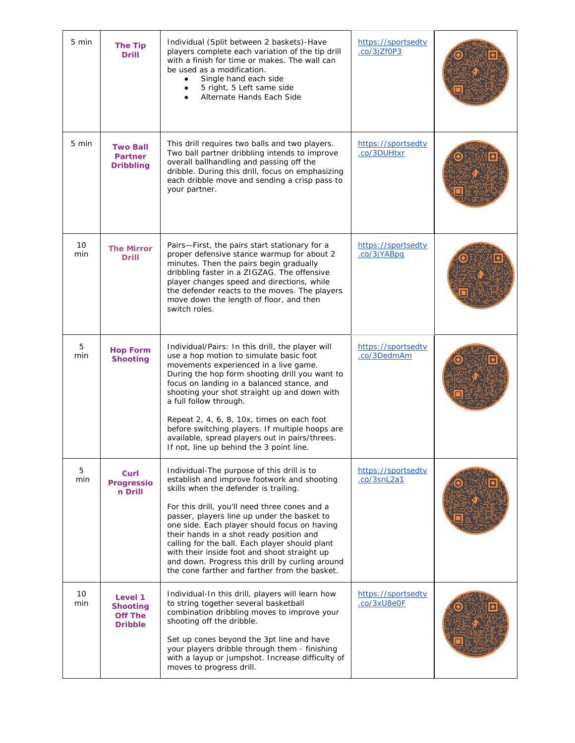| 5 min     | <b>The Tip</b><br><b>Drill</b>                                 | Individual (Split between 2 baskets)-Have<br>players complete each variation of the tip drill<br>with a finish for time or makes. The wall can<br>be used as a modification.<br>Single hand each side<br>5 right, 5 Left same side<br>Alternate Hands Each Side                                                                                                                                                                                                                                                                      | https://sportsedtv<br>.co/3jZf0P3 |  |
|-----------|----------------------------------------------------------------|--------------------------------------------------------------------------------------------------------------------------------------------------------------------------------------------------------------------------------------------------------------------------------------------------------------------------------------------------------------------------------------------------------------------------------------------------------------------------------------------------------------------------------------|-----------------------------------|--|
| 5 min     | <b>Two Ball</b><br><b>Partner</b><br><b>Dribbling</b>          | This drill requires two balls and two players.<br>Two ball partner dribbling intends to improve<br>overall ballhandling and passing off the<br>dribble. During this drill, focus on emphasizing<br>each dribble move and sending a crisp pass to<br>your partner.                                                                                                                                                                                                                                                                    | https://sportsedtv<br>.co/3DUHtxr |  |
| 10<br>min | <b>The Mirror</b><br><b>Drill</b>                              | Pairs-First, the pairs start stationary for a<br>proper defensive stance warmup for about 2<br>minutes. Then the pairs begin gradually<br>dribbling faster in a ZIGZAG. The offensive<br>player changes speed and directions, while<br>the defender reacts to the moves. The players<br>move down the length of floor, and then<br>switch roles.                                                                                                                                                                                     | https://sportsedtv<br>.co/3jYABpq |  |
| 5<br>min  | <b>Hop Form</b><br><b>Shooting</b>                             | Individual/Pairs: In this drill, the player will<br>use a hop motion to simulate basic foot<br>movements experienced in a live game.<br>During the hop form shooting drill you want to<br>focus on landing in a balanced stance, and<br>shooting your shot straight up and down with<br>a full follow through.<br>Repeat 2, 4, 6, 8, 10x, times on each foot<br>before switching players. If multiple hoops are<br>available, spread players out in pairs/threes.<br>If not, line up behind the 3 point line.                        | https://sportsedtv<br>.co/3DedmAm |  |
| 5<br>min  | Curl<br><b>Progressio</b><br>n Drill                           | Individual-The purpose of this drill is to<br>establish and improve footwork and shooting<br>skills when the defender is trailing.<br>For this drill, you'll need three cones and a<br>passer, players line up under the basket to<br>one side. Each player should focus on having<br>their hands in a shot ready position and<br>calling for the ball. Each player should plant<br>with their inside foot and shoot straight up<br>and down. Progress this drill by curling around<br>the cone farther and farther from the basket. | https://sportsedtv<br>.co/3snL2a1 |  |
| 10<br>min | Level 1<br><b>Shooting</b><br><b>Off The</b><br><b>Dribble</b> | Individual-In this drill, players will learn how<br>to string together several basketball<br>combination dribbling moves to improve your<br>shooting off the dribble.<br>Set up cones beyond the 3pt line and have<br>your players dribble through them - finishing<br>with a layup or jumpshot. Increase difficulty of<br>moves to progress drill.                                                                                                                                                                                  | https://sportsedtv<br>.co/3xU8e0F |  |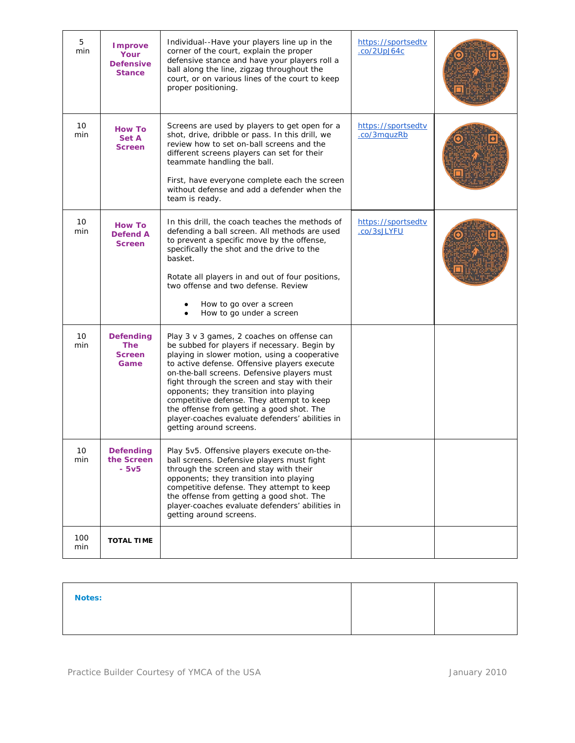| 5<br>min   | <b>Improve</b><br>Your<br><b>Defensive</b><br><b>Stance</b> | Individual--Have your players line up in the<br>corner of the court, explain the proper<br>defensive stance and have your players roll a<br>ball along the line, zigzag throughout the<br>court, or on various lines of the court to keep<br>proper positioning.                                                                                                                                                                                                                                              | https://sportsedtv<br>$.$ co/2UpJ64 $c$ |  |
|------------|-------------------------------------------------------------|---------------------------------------------------------------------------------------------------------------------------------------------------------------------------------------------------------------------------------------------------------------------------------------------------------------------------------------------------------------------------------------------------------------------------------------------------------------------------------------------------------------|-----------------------------------------|--|
| 10<br>min  | <b>How To</b><br>Set A<br><b>Screen</b>                     | Screens are used by players to get open for a<br>shot, drive, dribble or pass. In this drill, we<br>review how to set on-ball screens and the<br>different screens players can set for their<br>teammate handling the ball.<br>First, have everyone complete each the screen<br>without defense and add a defender when the<br>team is ready.                                                                                                                                                                 | https://sportsedtv<br>.co/3mquzRb       |  |
| 10<br>min  | <b>How To</b><br><b>Defend A</b><br><b>Screen</b>           | In this drill, the coach teaches the methods of<br>defending a ball screen. All methods are used<br>to prevent a specific move by the offense,<br>specifically the shot and the drive to the<br>basket.<br>Rotate all players in and out of four positions,<br>two offense and two defense. Review<br>How to go over a screen<br>How to go under a screen                                                                                                                                                     | https://sportsedtv<br>.co/3sJLYFU       |  |
| 10<br>min  | <b>Defending</b><br><b>The</b><br><b>Screen</b><br>Game     | Play 3 v 3 games, 2 coaches on offense can<br>be subbed for players if necessary. Begin by<br>playing in slower motion, using a cooperative<br>to active defense. Offensive players execute<br>on-the-ball screens. Defensive players must<br>fight through the screen and stay with their<br>opponents; they transition into playing<br>competitive defense. They attempt to keep<br>the offense from getting a good shot. The<br>player-coaches evaluate defenders' abilities in<br>getting around screens. |                                         |  |
| 10<br>min  | Defending<br>the Screen<br>$-5v5$                           | Play 5v5. Offensive players execute on-the-<br>ball screens. Defensive players must fight<br>through the screen and stay with their<br>opponents; they transition into playing<br>competitive defense. They attempt to keep<br>the offense from getting a good shot. The<br>player-coaches evaluate defenders' abilities in<br>getting around screens.                                                                                                                                                        |                                         |  |
| 100<br>min | <b>TOTAL TIME</b>                                           |                                                                                                                                                                                                                                                                                                                                                                                                                                                                                                               |                                         |  |

| <b>Notes:</b> |  |  |
|---------------|--|--|
|               |  |  |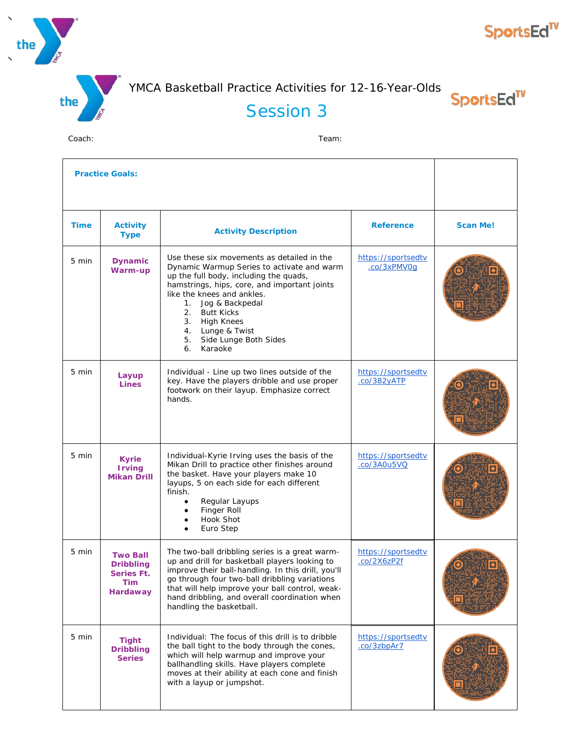

# **SportsEd<sup>TV</sup>**

YMCA Basketball Practice Activities for 12-16‐Year‐Olds

SportsEd<sup>TV</sup>

# Session 3

|             | <b>Practice Goals:</b>                                                      |                                                                                                                                                                                                                                                                                                                                                                    |                                   |                 |  |
|-------------|-----------------------------------------------------------------------------|--------------------------------------------------------------------------------------------------------------------------------------------------------------------------------------------------------------------------------------------------------------------------------------------------------------------------------------------------------------------|-----------------------------------|-----------------|--|
| <b>Time</b> | <b>Activity</b><br><b>Type</b>                                              | <b>Activity Description</b>                                                                                                                                                                                                                                                                                                                                        | <b>Reference</b>                  | <b>Scan Me!</b> |  |
| 5 min       | <b>Dynamic</b><br>Warm-up                                                   | Use these six movements as detailed in the<br>Dynamic Warmup Series to activate and warm<br>up the full body, including the quads,<br>hamstrings, hips, core, and important joints<br>like the knees and ankles.<br>$1_{\cdot}$<br>Jog & Backpedal<br>2.<br><b>Butt Kicks</b><br>3. High Knees<br>4. Lunge & Twist<br>Side Lunge Both Sides<br>5.<br>Karaoke<br>6. | https://sportsedtv<br>.co/3xPMV0q |                 |  |
| 5 min       | Layup<br><b>Lines</b>                                                       | Individual - Line up two lines outside of the<br>key. Have the players dribble and use proper<br>footwork on their layup. Emphasize correct<br>hands.                                                                                                                                                                                                              | https://sportsedtv<br>.co/382yATP |                 |  |
| 5 min       | <b>Kyrie</b><br><b>Irving</b><br><b>Mikan Drill</b>                         | Individual-Kyrie Irving uses the basis of the<br>Mikan Drill to practice other finishes around<br>the basket. Have your players make 10<br>layups, 5 on each side for each different<br>finish.<br>Regular Layups<br>$\bullet$<br>Finger Roll<br>Hook Shot<br>Euro Step                                                                                            | https://sportsedtv<br>.co/3A0u5VQ |                 |  |
| 5 min       | <b>Two Ball</b><br><b>Dribbling</b><br>Series Ft.<br>Tim<br><b>Hardaway</b> | The two-ball dribbling series is a great warm-<br>up and drill for basketball players looking to<br>improve their ball-handling. In this drill, you'll<br>go through four two-ball dribbling variations<br>that will help improve your ball control, weak-<br>hand dribbling, and overall coordination when<br>handling the basketball.                            | https://sportsedtv<br>.co/2X6zP2f |                 |  |
| 5 min       | <b>Tight</b><br><b>Dribbling</b><br><b>Series</b>                           | Individual: The focus of this drill is to dribble<br>the ball tight to the body through the cones,<br>which will help warmup and improve your<br>ballhandling skills. Have players complete<br>moves at their ability at each cone and finish<br>with a layup or jumpshot.                                                                                         | https://sportsedtv<br>.co/3zbpAr7 |                 |  |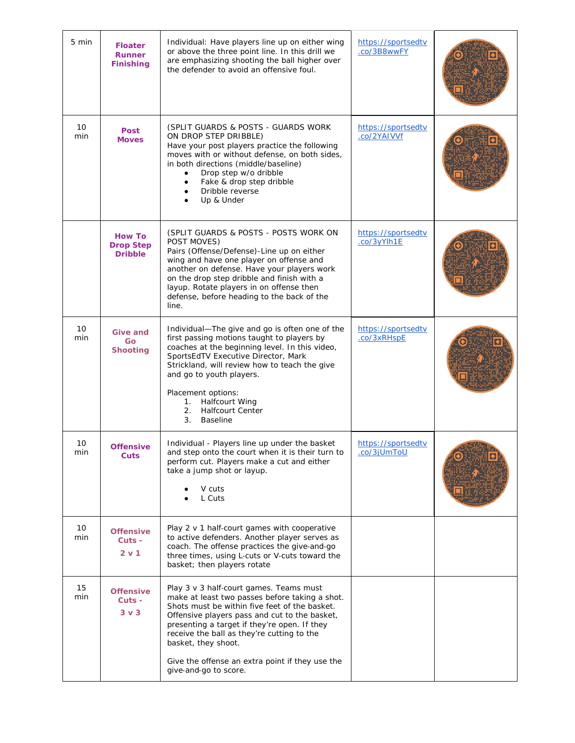| 5 min     | <b>Floater</b><br><b>Runner</b><br><b>Finishing</b> | Individual: Have players line up on either wing<br>or above the three point line. In this drill we<br>are emphasizing shooting the ball higher over<br>the defender to avoid an offensive foul.                                                                                                                                                                                              | https://sportsedtv<br>.co/3B8wwFY        |  |
|-----------|-----------------------------------------------------|----------------------------------------------------------------------------------------------------------------------------------------------------------------------------------------------------------------------------------------------------------------------------------------------------------------------------------------------------------------------------------------------|------------------------------------------|--|
| 10<br>min | <b>Post</b><br><b>Moves</b>                         | (SPLIT GUARDS & POSTS - GUARDS WORK)<br>ON DROP STEP DRIBBLE)<br>Have your post players practice the following<br>moves with or without defense, on both sides,<br>in both directions (middle/baseline)<br>Drop step w/o dribble<br>$\bullet$<br>Fake & drop step dribble<br>Dribble reverse<br>Up & Under                                                                                   | https://sportsedtv<br>.co/2YAIVVf        |  |
|           | <b>How To</b><br><b>Drop Step</b><br><b>Dribble</b> | (SPLIT GUARDS & POSTS - POSTS WORK ON<br>POST MOVES)<br>Pairs (Offense/Defense)-Line up on either<br>wing and have one player on offense and<br>another on defense. Have your players work<br>on the drop step dribble and finish with a<br>layup. Rotate players in on offense then<br>defense, before heading to the back of the<br>line.                                                  | https://sportsedtv<br>.co/3yYlh1E        |  |
| 10<br>min | <b>Give and</b><br>Go<br><b>Shooting</b>            | Individual-The give and go is often one of the<br>first passing motions taught to players by<br>coaches at the beginning level. In this video,<br>SportsEdTV Executive Director, Mark<br>Strickland, will review how to teach the give<br>and go to youth players.<br>Placement options:<br><b>Halfcourt Wing</b><br>1.<br><b>Halfcourt Center</b><br>2.<br>3.<br><b>Baseline</b>            | https://sportsedtv<br>.co/3xRHspE        |  |
| 10<br>min | <b>Offensive</b><br>Cuts                            | Individual - Players line up under the basket<br>and step onto the court when it is their turn to<br>perform cut. Players make a cut and either<br>take a jump shot or layup.<br>V cuts<br>L Cuts                                                                                                                                                                                            | https://sportsedtv<br><u>.co/3jUmToU</u> |  |
| 10<br>min | <b>Offensive</b><br>Cuts -<br>2 v 1                 | Play 2 v 1 half-court games with cooperative<br>to active defenders. Another player serves as<br>coach. The offense practices the give-and-go<br>three times, using L-cuts or V-cuts toward the<br>basket; then players rotate                                                                                                                                                               |                                          |  |
| 15<br>min | <b>Offensive</b><br>Cuts -<br>$3v$ 3                | Play 3 v 3 half-court games. Teams must<br>make at least two passes before taking a shot.<br>Shots must be within five feet of the basket.<br>Offensive players pass and cut to the basket,<br>presenting a target if they're open. If they<br>receive the ball as they're cutting to the<br>basket, they shoot.<br>Give the offense an extra point if they use the<br>give-and-go to score. |                                          |  |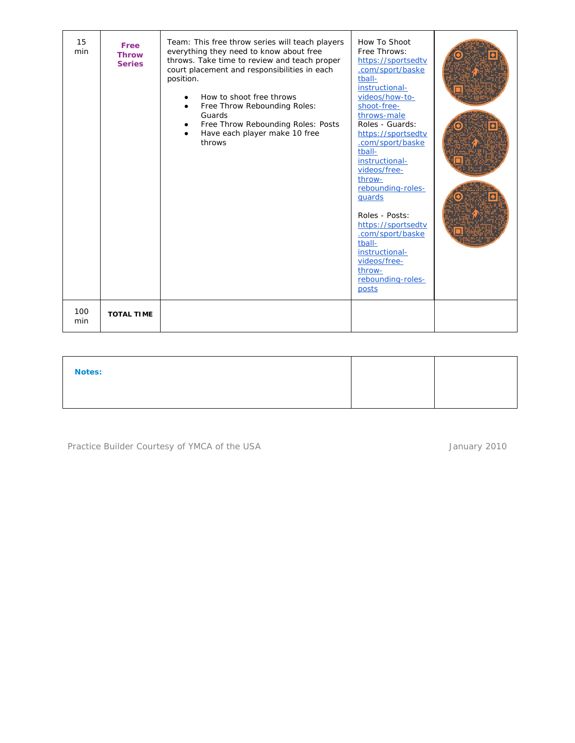| 15<br>min  | Free<br><b>Throw</b><br><b>Series</b> | Team: This free throw series will teach players<br>everything they need to know about free<br>throws. Take time to review and teach proper<br>court placement and responsibilities in each<br>position.<br>How to shoot free throws<br>Free Throw Rebounding Roles:<br>Guards<br>Free Throw Rebounding Roles: Posts<br>$\bullet$<br>Have each player make 10 free<br>throws | How To Shoot<br>Free Throws:<br>https://sportsedtv<br>.com/sport/baske<br>tball-<br>instructional-<br>videos/how-to-<br>shoot-free-<br>throws-male<br>Roles - Guards:<br>https://sportsedtv<br>.com/sport/baske<br>tball-<br>instructional-<br>videos/free-<br>throw-<br>rebounding-roles-<br>quards<br>Roles - Posts:<br>https://sportsedtv<br>.com/sport/baske<br>tball-<br>instructional-<br>videos/free-<br>throw-<br>rebounding-roles-<br>posts |  |
|------------|---------------------------------------|-----------------------------------------------------------------------------------------------------------------------------------------------------------------------------------------------------------------------------------------------------------------------------------------------------------------------------------------------------------------------------|------------------------------------------------------------------------------------------------------------------------------------------------------------------------------------------------------------------------------------------------------------------------------------------------------------------------------------------------------------------------------------------------------------------------------------------------------|--|
| 100<br>min | <b>TOTAL TIME</b>                     |                                                                                                                                                                                                                                                                                                                                                                             |                                                                                                                                                                                                                                                                                                                                                                                                                                                      |  |

| <b>Notes:</b> |  |
|---------------|--|
|               |  |

Practice Builder Courtesy of YMCA of the USA and the USA and the USA state of the USA and the USA and the USA state of the USA state of the USA state of the USA state of the USA state of the USA state of the USA state of t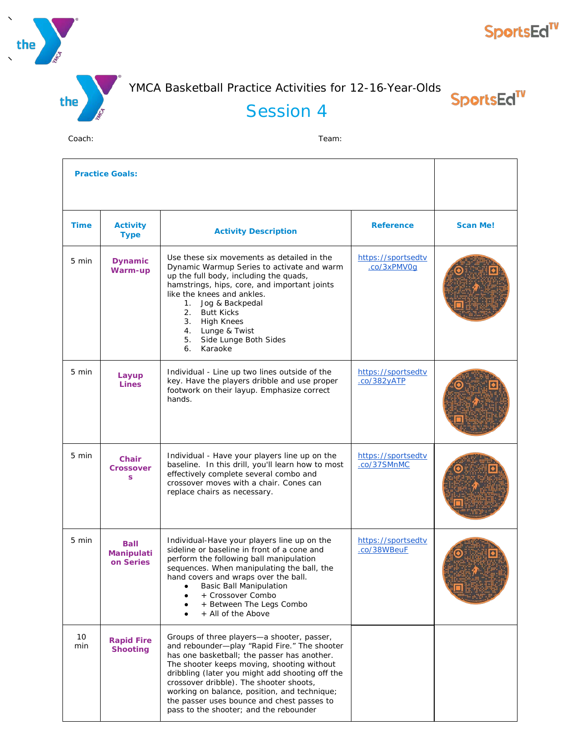

# **SportsEd<sup>TV</sup>**

YMCA Basketball Practice Activities for 12-16‐Year‐Olds

Session 4

SportsEd<sup>TV</sup>

| <b>Practice Goals:</b> |                                               |                                                                                                                                                                                                                                                                                                                                                                                                                               |                                         |                 |
|------------------------|-----------------------------------------------|-------------------------------------------------------------------------------------------------------------------------------------------------------------------------------------------------------------------------------------------------------------------------------------------------------------------------------------------------------------------------------------------------------------------------------|-----------------------------------------|-----------------|
| <b>Time</b>            | <b>Activity</b><br><b>Type</b>                | <b>Activity Description</b>                                                                                                                                                                                                                                                                                                                                                                                                   | <b>Reference</b>                        | <b>Scan Me!</b> |
| 5 min                  | <b>Dynamic</b><br>Warm-up                     | Use these six movements as detailed in the<br>Dynamic Warmup Series to activate and warm<br>up the full body, including the quads,<br>hamstrings, hips, core, and important joints<br>like the knees and ankles.<br>Jog & Backpedal<br>1.<br>2.<br><b>Butt Kicks</b><br>3. High Knees<br>4. Lunge & Twist<br>Side Lunge Both Sides<br>5.<br>6.<br>Karaoke                                                                     | https://sportsedtv<br>.co/3xPMV0q       |                 |
| 5 min                  | Layup<br><b>Lines</b>                         | Individual - Line up two lines outside of the<br>key. Have the players dribble and use proper<br>footwork on their layup. Emphasize correct<br>hands.                                                                                                                                                                                                                                                                         | https://sportsedtv<br>$.$ $co/382$ yATP |                 |
| 5 min                  | <b>Chair</b><br><b>Crossover</b><br>s.        | Individual - Have your players line up on the<br>baseline. In this drill, you'll learn how to most<br>effectively complete several combo and<br>crossover moves with a chair. Cones can<br>replace chairs as necessary.                                                                                                                                                                                                       | https://sportsedtv<br>.co/37SMnMC       |                 |
| 5 min                  | <b>Ball</b><br><b>Manipulati</b><br>on Series | Individual-Have your players line up on the<br>sideline or baseline in front of a cone and<br>perform the following ball manipulation<br>sequences. When manipulating the ball, the<br>hand covers and wraps over the ball.<br><b>Basic Ball Manipulation</b><br>+ Crossover Combo<br>+ Between The Legs Combo<br>+ All of the Above                                                                                          | https://sportsedtv<br>.co/38WBeuF       |                 |
| 10<br>min              | <b>Rapid Fire</b><br><b>Shooting</b>          | Groups of three players-a shooter, passer,<br>and rebounder-play "Rapid Fire." The shooter<br>has one basketball; the passer has another.<br>The shooter keeps moving, shooting without<br>dribbling (later you might add shooting off the<br>crossover dribble). The shooter shoots,<br>working on balance, position, and technique;<br>the passer uses bounce and chest passes to<br>pass to the shooter; and the rebounder |                                         |                 |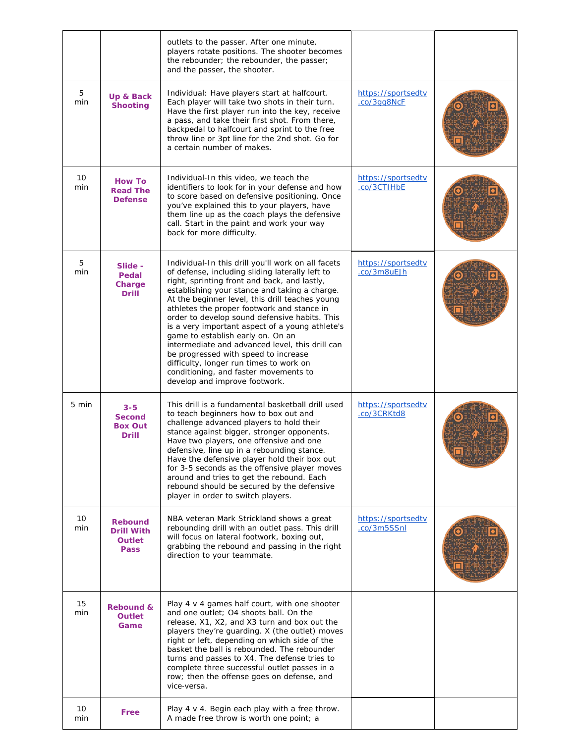|           |                                                                     | outlets to the passer. After one minute,<br>players rotate positions. The shooter becomes<br>the rebounder; the rebounder, the passer;<br>and the passer, the shooter.                                                                                                                                                                                                                                                                                                                                                                                                                                                                                           |                                   |  |
|-----------|---------------------------------------------------------------------|------------------------------------------------------------------------------------------------------------------------------------------------------------------------------------------------------------------------------------------------------------------------------------------------------------------------------------------------------------------------------------------------------------------------------------------------------------------------------------------------------------------------------------------------------------------------------------------------------------------------------------------------------------------|-----------------------------------|--|
| 5<br>min  | Up & Back<br><b>Shooting</b>                                        | Individual: Have players start at halfcourt.<br>Each player will take two shots in their turn.<br>Have the first player run into the key, receive<br>a pass, and take their first shot. From there,<br>backpedal to halfcourt and sprint to the free<br>throw line or 3pt line for the 2nd shot. Go for<br>a certain number of makes.                                                                                                                                                                                                                                                                                                                            | https://sportsedtv<br>.co/3gg8NcF |  |
| 10<br>min | <b>How To</b><br><b>Read The</b><br><b>Defense</b>                  | Individual-In this video, we teach the<br>identifiers to look for in your defense and how<br>to score based on defensive positioning. Once<br>you've explained this to your players, have<br>them line up as the coach plays the defensive<br>call. Start in the paint and work your way<br>back for more difficulty.                                                                                                                                                                                                                                                                                                                                            | https://sportsedtv<br>.co/3CTIHbE |  |
| 5<br>min  | Slide -<br>Pedal<br>Charge<br><b>Drill</b>                          | Individual-In this drill you'll work on all facets<br>of defense, including sliding laterally left to<br>right, sprinting front and back, and lastly,<br>establishing your stance and taking a charge.<br>At the beginner level, this drill teaches young<br>athletes the proper footwork and stance in<br>order to develop sound defensive habits. This<br>is a very important aspect of a young athlete's<br>game to establish early on. On an<br>intermediate and advanced level, this drill can<br>be progressed with speed to increase<br>difficulty, longer run times to work on<br>conditioning, and faster movements to<br>develop and improve footwork. | https://sportsedtv<br>.co/3m8uEJh |  |
| 5 min     | $3 - 5$<br><b>Second</b><br><b>Box Out</b><br><b>Drill</b>          | This drill is a fundamental basketball drill used<br>to teach beginners how to box out and<br>challenge advanced players to hold their<br>stance against bigger, stronger opponents.<br>Have two players, one offensive and one<br>defensive, line up in a rebounding stance.<br>Have the defensive player hold their box out<br>for 3-5 seconds as the offensive player moves<br>around and tries to get the rebound. Each<br>rebound should be secured by the defensive<br>player in order to switch players.                                                                                                                                                  | https://sportsedtv<br>.co/3CRKtd8 |  |
| 10<br>min | <b>Rebound</b><br><b>Drill With</b><br><b>Outlet</b><br><b>Pass</b> | NBA veteran Mark Strickland shows a great<br>rebounding drill with an outlet pass. This drill<br>will focus on lateral footwork, boxing out,<br>grabbing the rebound and passing in the right<br>direction to your teammate.                                                                                                                                                                                                                                                                                                                                                                                                                                     | https://sportsedtv<br>.co/3m5SSnl |  |
| 15<br>min | <b>Rebound &amp;</b><br><b>Outlet</b><br>Game                       | Play 4 v 4 games half court, with one shooter<br>and one outlet; O4 shoots ball. On the<br>release, X1, X2, and X3 turn and box out the<br>players they're guarding. X (the outlet) moves<br>right or left, depending on which side of the<br>basket the ball is rebounded. The rebounder<br>turns and passes to X4. The defense tries to<br>complete three successful outlet passes in a<br>row; then the offense goes on defense, and<br>vice-versa.                                                                                                                                                                                                           |                                   |  |
| 10<br>min | Free                                                                | Play $4 \vee 4$ . Begin each play with a free throw.<br>A made free throw is worth one point; a                                                                                                                                                                                                                                                                                                                                                                                                                                                                                                                                                                  |                                   |  |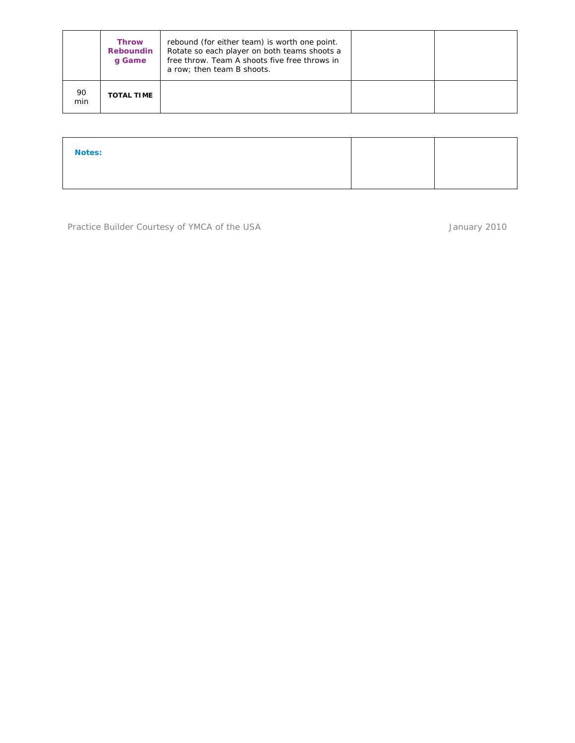|           | <b>Throw</b><br>Reboundin<br>q Game | rebound (for either team) is worth one point.<br>Rotate so each player on both teams shoots a<br>free throw. Team A shoots five free throws in<br>a row; then team B shoots. |  |
|-----------|-------------------------------------|------------------------------------------------------------------------------------------------------------------------------------------------------------------------------|--|
| 90<br>min | <b>TOTAL TIME</b>                   |                                                                                                                                                                              |  |

| <b>Notes:</b> |  |
|---------------|--|
|               |  |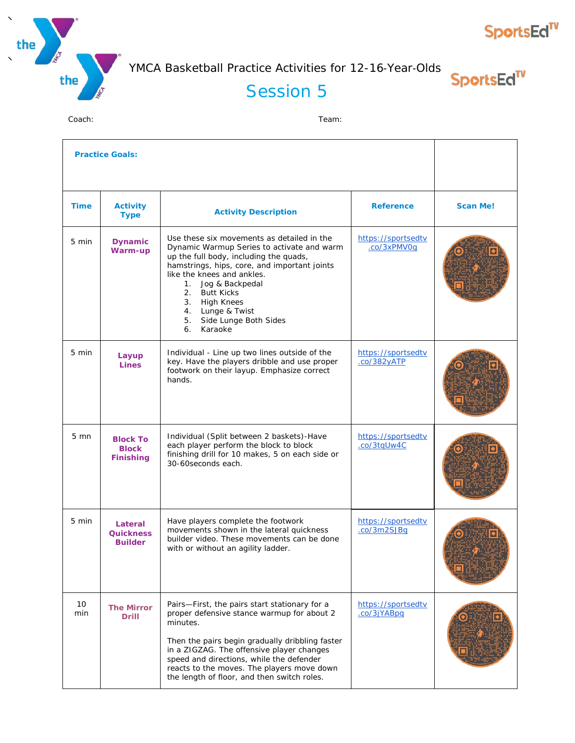



**SportsEd<sup>TV</sup>** 

#### Session 5

| <b>Practice Goals:</b> |                                                     |                                                                                                                                                                                                                                                                                                                                                  |                                   |                 |
|------------------------|-----------------------------------------------------|--------------------------------------------------------------------------------------------------------------------------------------------------------------------------------------------------------------------------------------------------------------------------------------------------------------------------------------------------|-----------------------------------|-----------------|
| <b>Time</b>            | <b>Activity</b><br><b>Type</b>                      | <b>Activity Description</b>                                                                                                                                                                                                                                                                                                                      | <b>Reference</b>                  | <b>Scan Me!</b> |
| 5 min                  | <b>Dynamic</b><br>Warm-up                           | Use these six movements as detailed in the<br>Dynamic Warmup Series to activate and warm<br>up the full body, including the quads,<br>hamstrings, hips, core, and important joints<br>like the knees and ankles.<br>1. Jog & Backpedal<br>2. Butt Kicks<br>3. High Knees<br>4. Lunge & Twist<br>5. Side Lunge Both Sides<br>Karaoke<br>6.        | https://sportsedtv<br>.co/3xPMV0q |                 |
| 5 min                  | Layup<br>Lines                                      | Individual - Line up two lines outside of the<br>key. Have the players dribble and use proper<br>footwork on their layup. Emphasize correct<br>hands.                                                                                                                                                                                            | https://sportsedtv<br>.co/382yATP |                 |
| $5 \text{ mm}$         | <b>Block To</b><br><b>Block</b><br><b>Finishing</b> | Individual (Split between 2 baskets)-Have<br>each player perform the block to block<br>finishing drill for 10 makes, 5 on each side or<br>30-60 seconds each.                                                                                                                                                                                    | https://sportsedtv<br>.co/3tqUw4C |                 |
| $5 \text{ min}$        | Lateral<br><b>Quickness</b><br><b>Builder</b>       | Have players complete the footwork<br>movements shown in the lateral quickness<br>builder video. These movements can be done<br>with or without an agility ladder.                                                                                                                                                                               | https://sportsedtv<br>.co/3m2SJBq |                 |
| 10<br>min              | <b>The Mirror</b><br><b>Drill</b>                   | Pairs-First, the pairs start stationary for a<br>proper defensive stance warmup for about 2<br>minutes.<br>Then the pairs begin gradually dribbling faster<br>in a ZIGZAG. The offensive player changes<br>speed and directions, while the defender<br>reacts to the moves. The players move down<br>the length of floor, and then switch roles. | https://sportsedtv<br>.co/3jYABpq |                 |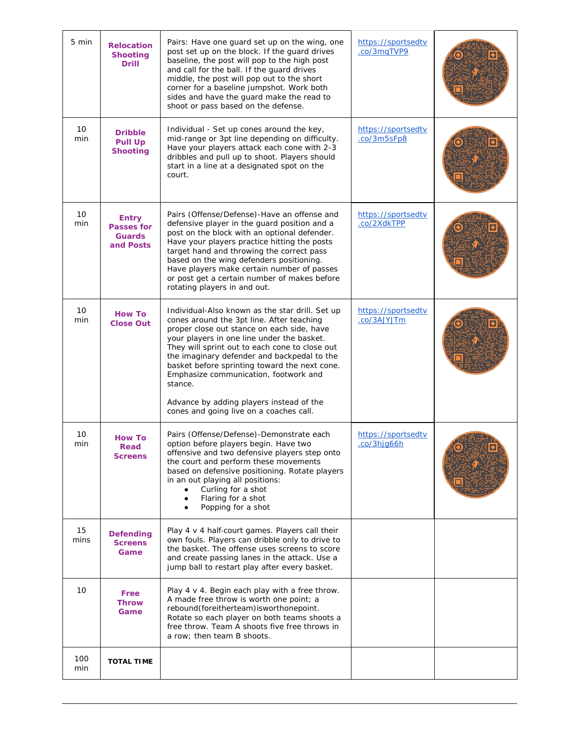| 5 min      | <b>Relocation</b><br><b>Shooting</b><br><b>Drill</b>            | Pairs: Have one guard set up on the wing, one<br>post set up on the block. If the guard drives<br>baseline, the post will pop to the high post<br>and call for the ball. If the guard drives<br>middle, the post will pop out to the short<br>corner for a baseline jumpshot. Work both<br>sides and have the guard make the read to<br>shoot or pass based on the defense.                                                                                                           | https://sportsedtv<br>.co/3mgTVP9 |  |
|------------|-----------------------------------------------------------------|---------------------------------------------------------------------------------------------------------------------------------------------------------------------------------------------------------------------------------------------------------------------------------------------------------------------------------------------------------------------------------------------------------------------------------------------------------------------------------------|-----------------------------------|--|
| 10<br>min  | <b>Dribble</b><br><b>Pull Up</b><br><b>Shooting</b>             | Individual - Set up cones around the key,<br>mid-range or 3pt line depending on difficulty.<br>Have your players attack each cone with 2-3<br>dribbles and pull up to shoot. Players should<br>start in a line at a designated spot on the<br>court.                                                                                                                                                                                                                                  | https://sportsedtv<br>.co/3m5sFp8 |  |
| 10<br>min  | <b>Entry</b><br><b>Passes for</b><br><b>Guards</b><br>and Posts | Pairs (Offense/Defense)-Have an offense and<br>defensive player in the guard position and a<br>post on the block with an optional defender.<br>Have your players practice hitting the posts<br>target hand and throwing the correct pass<br>based on the wing defenders positioning.<br>Have players make certain number of passes<br>or post get a certain number of makes before<br>rotating players in and out.                                                                    | https://sportsedtv<br>.co/2XdkTPP |  |
| 10<br>min  | <b>How To</b><br><b>Close Out</b>                               | Individual-Also known as the star drill. Set up<br>cones around the 3pt line. After teaching<br>proper close out stance on each side, have<br>your players in one line under the basket.<br>They will sprint out to each cone to close out<br>the imaginary defender and backpedal to the<br>basket before sprinting toward the next cone.<br>Emphasize communication, footwork and<br>stance.<br>Advance by adding players instead of the<br>cones and going live on a coaches call. | https://sportsedtv<br>.co/3AJYJTm |  |
| 10<br>min  | <b>How To</b><br>Read<br><b>Screens</b>                         | Pairs (Offense/Defense)-Demonstrate each<br>option before players begin. Have two<br>offensive and two defensive players step onto<br>the court and perform these movements<br>based on defensive positioning. Rotate players<br>in an out playing all positions:<br>Curling for a shot<br>Flaring for a shot<br>Popping for a shot                                                                                                                                                   | https://sportsedtv<br>.co/3hjg66h |  |
| 15<br>mins | <b>Defending</b><br><b>Screens</b><br>Game                      | Play 4 v 4 half-court games. Players call their<br>own fouls. Players can dribble only to drive to<br>the basket. The offense uses screens to score<br>and create passing lanes in the attack. Use a<br>jump ball to restart play after every basket.                                                                                                                                                                                                                                 |                                   |  |
| 10         | Free<br>Throw<br>Game                                           | Play 4 v 4. Begin each play with a free throw.<br>A made free throw is worth one point; a<br>rebound(foreitherteam)isworthonepoint.<br>Rotate so each player on both teams shoots a<br>free throw. Team A shoots five free throws in<br>a row; then team B shoots.                                                                                                                                                                                                                    |                                   |  |
| 100<br>min | <b>TOTAL TIME</b>                                               |                                                                                                                                                                                                                                                                                                                                                                                                                                                                                       |                                   |  |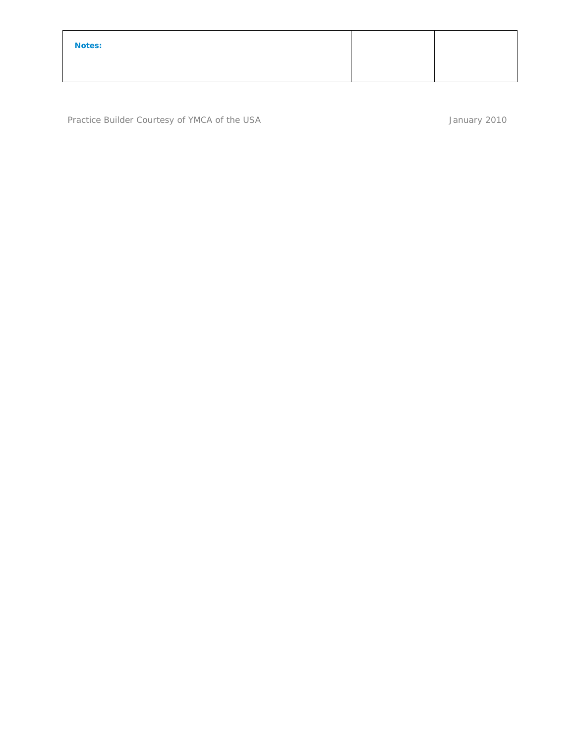| <b>Notes:</b> |  |
|---------------|--|
|               |  |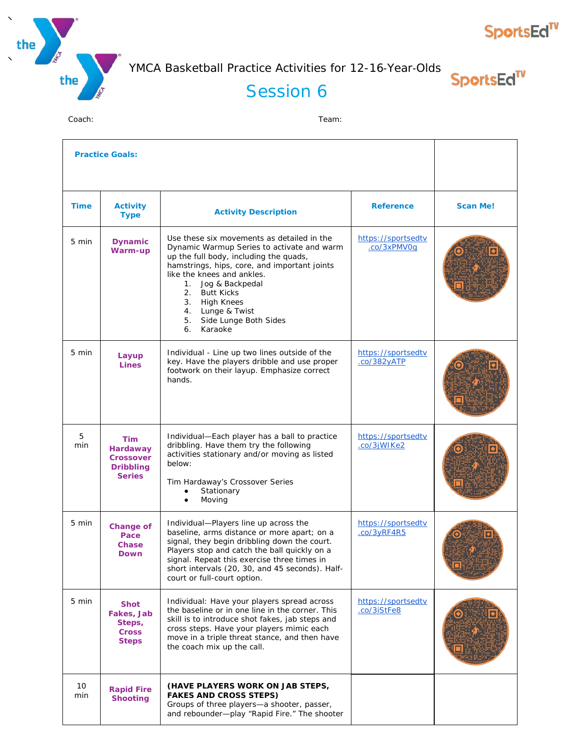



SportsEd<sup>TV</sup>

SportsEd<sup>TV</sup>

## Session 6

| <b>Practice Goals:</b> |                                                                                 |                                                                                                                                                                                                                                                                                                                                                                     |                                           |                 |
|------------------------|---------------------------------------------------------------------------------|---------------------------------------------------------------------------------------------------------------------------------------------------------------------------------------------------------------------------------------------------------------------------------------------------------------------------------------------------------------------|-------------------------------------------|-----------------|
| <b>Time</b>            | <b>Activity</b><br><b>Type</b>                                                  | <b>Activity Description</b>                                                                                                                                                                                                                                                                                                                                         | <b>Reference</b>                          | <b>Scan Me!</b> |
| 5 min                  | <b>Dynamic</b><br>Warm-up                                                       | Use these six movements as detailed in the<br>Dynamic Warmup Series to activate and warm<br>up the full body, including the quads,<br>hamstrings, hips, core, and important joints<br>like the knees and ankles.<br>Jog & Backpedal<br>1.<br>2.<br><b>Butt Kicks</b><br>3.<br><b>High Knees</b><br>4. Lunge & Twist<br>Side Lunge Both Sides<br>5.<br>6.<br>Karaoke | https://sportsedtv<br>.co/3xPMV0q         |                 |
| 5 min                  | Layup<br><b>Lines</b>                                                           | Individual - Line up two lines outside of the<br>key. Have the players dribble and use proper<br>footwork on their layup. Emphasize correct<br>hands.                                                                                                                                                                                                               | https://sportsedtv<br>$.$ $co/382$ $VATP$ |                 |
| 5<br>min               | <b>Tim</b><br>Hardaway<br><b>Crossover</b><br><b>Dribbling</b><br><b>Series</b> | Individual-Each player has a ball to practice<br>dribbling. Have them try the following<br>activities stationary and/or moving as listed<br>below:<br>Tim Hardaway's Crossover Series<br>Stationary<br>Moving                                                                                                                                                       | https://sportsedtv<br>.co/3jWIKe2         |                 |
| 5 min                  | <b>Change of</b><br>Pace<br><b>Chase</b><br><b>Down</b>                         | Individual-Players line up across the<br>baseline, arms distance or more apart; on a<br>signal, they begin dribbling down the court.<br>Players stop and catch the ball quickly on a<br>signal. Repeat this exercise three times in<br>short intervals (20, 30, and 45 seconds). Half-<br>court or full-court option.                                               | https://sportsedtv<br>.co/3yRF4R5         |                 |
| 5 min                  | <b>Shot</b><br>Fakes, Jab<br>Steps,<br><b>Cross</b><br><b>Steps</b>             | Individual: Have your players spread across<br>the baseline or in one line in the corner. This<br>skill is to introduce shot fakes, jab steps and<br>cross steps. Have your players mimic each<br>move in a triple threat stance, and then have<br>the coach mix up the call.                                                                                       | https://sportsedtv<br>.co/3iStFe8         |                 |
| 10<br>min              | <b>Rapid Fire</b><br><b>Shooting</b>                                            | (HAVE PLAYERS WORK ON JAB STEPS,<br><b>FAKES AND CROSS STEPS)</b><br>Groups of three players-a shooter, passer,<br>and rebounder-play "Rapid Fire." The shooter                                                                                                                                                                                                     |                                           |                 |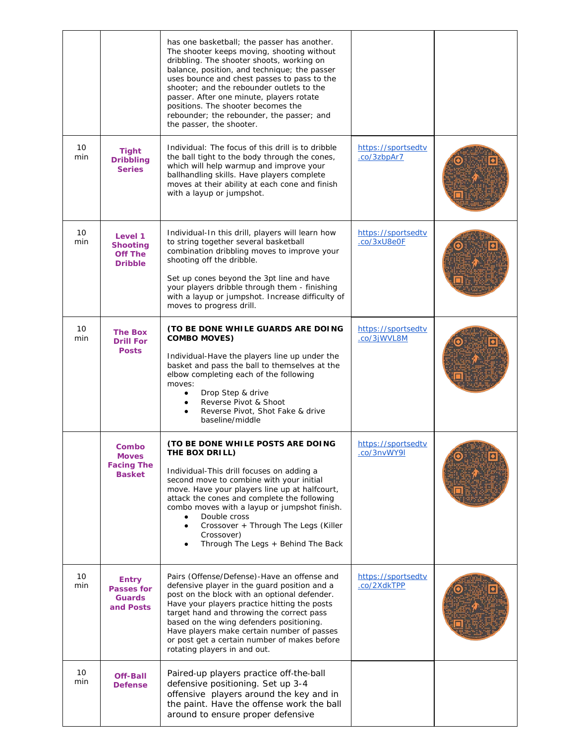|           |                                                                 | has one basketball; the passer has another.<br>The shooter keeps moving, shooting without<br>dribbling. The shooter shoots, working on<br>balance, position, and technique; the passer<br>uses bounce and chest passes to pass to the<br>shooter; and the rebounder outlets to the<br>passer. After one minute, players rotate<br>positions. The shooter becomes the<br>rebounder; the rebounder, the passer; and<br>the passer, the shooter. |                                   |  |
|-----------|-----------------------------------------------------------------|-----------------------------------------------------------------------------------------------------------------------------------------------------------------------------------------------------------------------------------------------------------------------------------------------------------------------------------------------------------------------------------------------------------------------------------------------|-----------------------------------|--|
| 10<br>min | <b>Tight</b><br><b>Dribbling</b><br><b>Series</b>               | Individual: The focus of this drill is to dribble<br>the ball tight to the body through the cones,<br>which will help warmup and improve your<br>ballhandling skills. Have players complete<br>moves at their ability at each cone and finish<br>with a layup or jumpshot.                                                                                                                                                                    | https://sportsedtv<br>.co/3zbpAr7 |  |
| 10<br>min | Level 1<br><b>Shooting</b><br><b>Off The</b><br><b>Dribble</b>  | Individual-In this drill, players will learn how<br>to string together several basketball<br>combination dribbling moves to improve your<br>shooting off the dribble.<br>Set up cones beyond the 3pt line and have<br>your players dribble through them - finishing<br>with a layup or jumpshot. Increase difficulty of<br>moves to progress drill.                                                                                           | https://sportsedtv<br>.co/3xU8e0F |  |
| 10<br>min | <b>The Box</b><br><b>Drill For</b><br><b>Posts</b>              | (TO BE DONE WHILE GUARDS ARE DOING<br><b>COMBO MOVES)</b><br>Individual-Have the players line up under the<br>basket and pass the ball to themselves at the<br>elbow completing each of the following<br>moves:<br>Drop Step & drive<br>Reverse Pivot & Shoot<br>Reverse Pivot, Shot Fake & drive<br>baseline/middle                                                                                                                          | https://sportsedtv<br>.co/3jWVL8M |  |
|           | Combo<br><b>Moves</b><br><b>Facing The</b><br><b>Basket</b>     | (TO BE DONE WHILE POSTS ARE DOING<br>THE BOX DRILL)<br>Individual-This drill focuses on adding a<br>second move to combine with your initial<br>move. Have your players line up at halfcourt,<br>attack the cones and complete the following<br>combo moves with a layup or jumpshot finish.<br>Double cross<br>Crossover + Through The Legs (Killer<br>$\bullet$<br>Crossover)<br>Through The Legs + Behind The Back                         | https://sportsedtv<br>.co/3nvWY9I |  |
| 10<br>min | <b>Entry</b><br><b>Passes for</b><br><b>Guards</b><br>and Posts | Pairs (Offense/Defense)-Have an offense and<br>defensive player in the guard position and a<br>post on the block with an optional defender.<br>Have your players practice hitting the posts<br>target hand and throwing the correct pass<br>based on the wing defenders positioning.<br>Have players make certain number of passes<br>or post get a certain number of makes before<br>rotating players in and out.                            | https://sportsedtv<br>.co/2XdkTPP |  |
| 10<br>min | <b>Off-Ball</b><br><b>Defense</b>                               | Paired-up players practice off-the-ball<br>defensive positioning. Set up 3-4<br>offensive players around the key and in<br>the paint. Have the offense work the ball<br>around to ensure proper defensive                                                                                                                                                                                                                                     |                                   |  |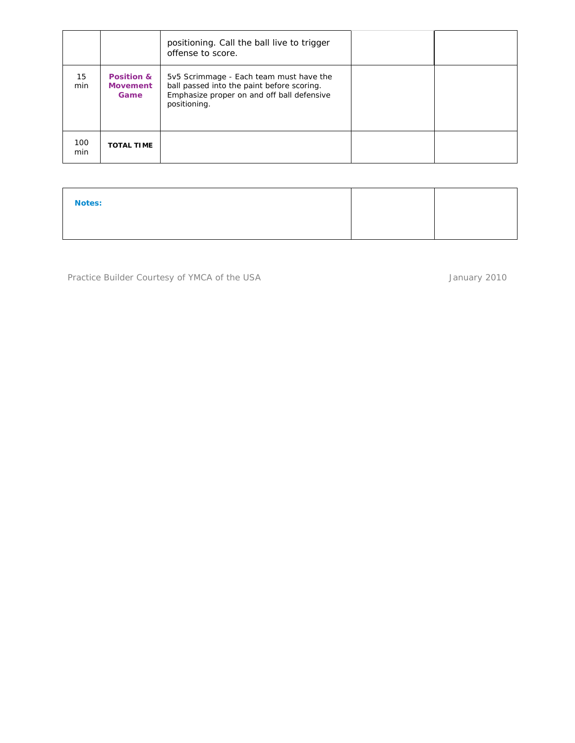|            |                                                  | positioning. Call the ball live to trigger<br>offense to score.                                                                                     |  |
|------------|--------------------------------------------------|-----------------------------------------------------------------------------------------------------------------------------------------------------|--|
| 15<br>min  | <b>Position &amp;</b><br><b>Movement</b><br>Game | 5v5 Scrimmage - Each team must have the<br>ball passed into the paint before scoring.<br>Emphasize proper on and off ball defensive<br>positioning. |  |
| 100<br>min | <b>TOTAL TIME</b>                                |                                                                                                                                                     |  |

**Notes:**

Practice Builder Courtesy of YMCA of the USA and the USA and the USA control of the USA and the USA control of the USA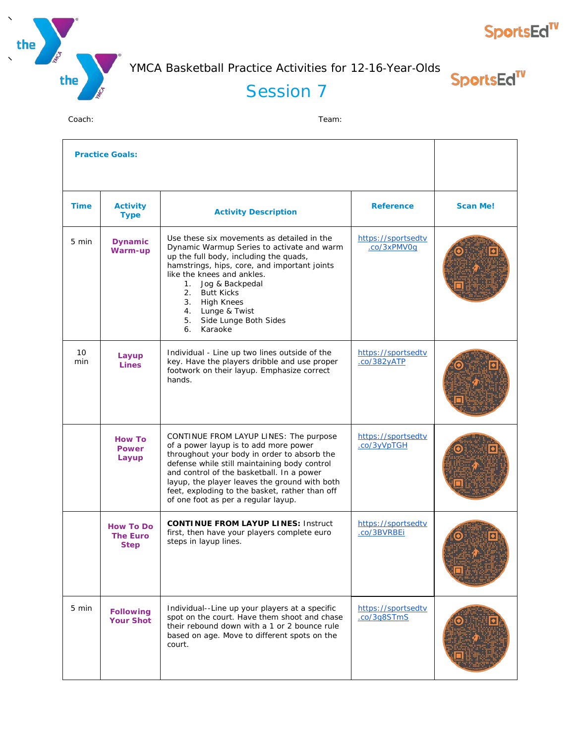



SportsEd<sup>TV</sup>

**SportsEd<sup>TV</sup>** 

#### Session 7

| <b>Practice Goals:</b> |                                                    |                                                                                                                                                                                                                                                                                                                                                                       |                                   |                 |
|------------------------|----------------------------------------------------|-----------------------------------------------------------------------------------------------------------------------------------------------------------------------------------------------------------------------------------------------------------------------------------------------------------------------------------------------------------------------|-----------------------------------|-----------------|
| <b>Time</b>            | <b>Activity</b><br><b>Type</b>                     | <b>Activity Description</b>                                                                                                                                                                                                                                                                                                                                           | <b>Reference</b>                  | <b>Scan Me!</b> |
| 5 min                  | <b>Dynamic</b><br>Warm-up                          | Use these six movements as detailed in the<br>Dynamic Warmup Series to activate and warm<br>up the full body, including the quads,<br>hamstrings, hips, core, and important joints<br>like the knees and ankles.<br>1. Jog & Backpedal<br>2. Butt Kicks<br>3. High Knees<br>4. Lunge & Twist<br>5. Side Lunge Both Sides<br>Karaoke<br>6.                             | https://sportsedtv<br>.co/3xPMV0g |                 |
| 10<br>min              | Layup<br><b>Lines</b>                              | Individual - Line up two lines outside of the<br>key. Have the players dribble and use proper<br>footwork on their layup. Emphasize correct<br>hands.                                                                                                                                                                                                                 | https://sportsedtv<br>.co/382yATP |                 |
|                        | <b>How To</b><br><b>Power</b><br>Layup             | CONTINUE FROM LAYUP LINES: The purpose<br>of a power layup is to add more power<br>throughout your body in order to absorb the<br>defense while still maintaining body control<br>and control of the basketball. In a power<br>layup, the player leaves the ground with both<br>feet, exploding to the basket, rather than off<br>of one foot as per a regular layup. | https://sportsedtv<br>.co/3yVpTGH |                 |
|                        | <b>How To Do</b><br><b>The Euro</b><br><b>Step</b> | <b>CONTINUE FROM LAYUP LINES: Instruct</b><br>first, then have your players complete euro<br>steps in layup lines.                                                                                                                                                                                                                                                    | https://sportsedtv<br>.co/3BVRBEi |                 |
| 5 min                  | <b>Following</b><br><b>Your Shot</b>               | Individual--Line up your players at a specific<br>spot on the court. Have them shoot and chase<br>their rebound down with a 1 or 2 bounce rule<br>based on age. Move to different spots on the<br>court.                                                                                                                                                              | https://sportsedtv<br>.co/3q8STmS |                 |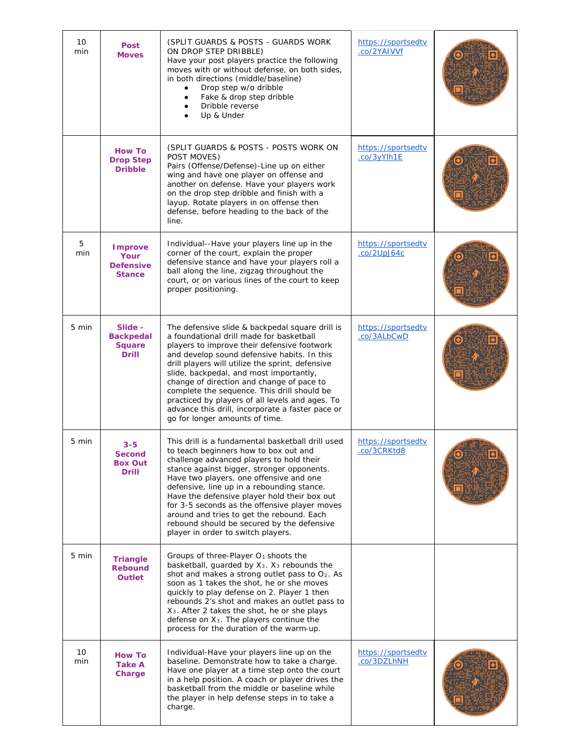| 10<br>min       | <b>Post</b><br><b>Moves</b>                                  | (SPLIT GUARDS & POSTS - GUARDS WORK)<br>ON DROP STEP DRIBBLE)<br>Have your post players practice the following<br>moves with or without defense, on both sides,<br>in both directions (middle/baseline)<br>Drop step w/o dribble<br>$\bullet$<br>Fake & drop step dribble<br>$\bullet$<br>Dribble reverse<br>Up & Under                                                                                                                                                                                                       | https://sportsedtv<br>.co/2YAIVVf        |  |
|-----------------|--------------------------------------------------------------|-------------------------------------------------------------------------------------------------------------------------------------------------------------------------------------------------------------------------------------------------------------------------------------------------------------------------------------------------------------------------------------------------------------------------------------------------------------------------------------------------------------------------------|------------------------------------------|--|
|                 | <b>How To</b><br><b>Drop Step</b><br><b>Dribble</b>          | (SPLIT GUARDS & POSTS - POSTS WORK ON<br>POST MOVES)<br>Pairs (Offense/Defense)-Line up on either<br>wing and have one player on offense and<br>another on defense. Have your players work<br>on the drop step dribble and finish with a<br>layup. Rotate players in on offense then<br>defense, before heading to the back of the<br>line.                                                                                                                                                                                   | https://sportsedtv<br>.co/3yYlh1E        |  |
| 5<br>min        | <b>Improve</b><br>Your<br><b>Defensive</b><br><b>Stance</b>  | Individual--Have your players line up in the<br>corner of the court, explain the proper<br>defensive stance and have your players roll a<br>ball along the line, zigzag throughout the<br>court, or on various lines of the court to keep<br>proper positioning.                                                                                                                                                                                                                                                              | https://sportsedtv<br>co/2UpJ64c         |  |
| 5 min           | Slide -<br><b>Backpedal</b><br><b>Square</b><br><b>Drill</b> | The defensive slide & backpedal square drill is<br>a foundational drill made for basketball<br>players to improve their defensive footwork<br>and develop sound defensive habits. In this<br>drill players will utilize the sprint, defensive<br>slide, backpedal, and most importantly,<br>change of direction and change of pace to<br>complete the sequence. This drill should be<br>practiced by players of all levels and ages. To<br>advance this drill, incorporate a faster pace or<br>go for longer amounts of time. | https://sportsedtv<br>.co/3ALbCwD        |  |
| 5 min           | 3-5<br><b>Second</b><br><b>Box Out</b><br><b>Drill</b>       | This drill is a fundamental basketball drill used<br>to teach beginners how to box out and<br>challenge advanced players to hold their<br>stance against bigger, stronger opponents.<br>Have two players, one offensive and one<br>defensive, line up in a rebounding stance.<br>Have the defensive player hold their box out<br>for 3-5 seconds as the offensive player moves<br>around and tries to get the rebound. Each<br>rebound should be secured by the defensive<br>player in order to switch players.               | https://sportsedtv<br><u>.co/3CRKtd8</u> |  |
| $5 \text{ min}$ | <b>Triangle</b><br><b>Rebound</b><br><b>Outlet</b>           | Groups of three-Player O <sub>1</sub> shoots the<br>basketball, quarded by $X_3$ . $X_3$ rebounds the<br>shot and makes a strong outlet pass to O <sub>2</sub> . As<br>soon as 1 takes the shot, he or she moves<br>quickly to play defense on 2. Player 1 then<br>rebounds 2's shot and makes an outlet pass to<br>X <sub>3</sub> . After 2 takes the shot, he or she plays<br>defense on X <sub>3</sub> . The players continue the<br>process for the duration of the warm-up.                                              |                                          |  |
| 10<br>min       | <b>How To</b><br>Take A<br>Charge                            | Individual-Have your players line up on the<br>baseline. Demonstrate how to take a charge.<br>Have one player at a time step onto the court<br>in a help position. A coach or player drives the<br>basketball from the middle or baseline while<br>the player in help defense steps in to take a<br>charge.                                                                                                                                                                                                                   | https://sportsedtv<br>.co/3DZLhNH        |  |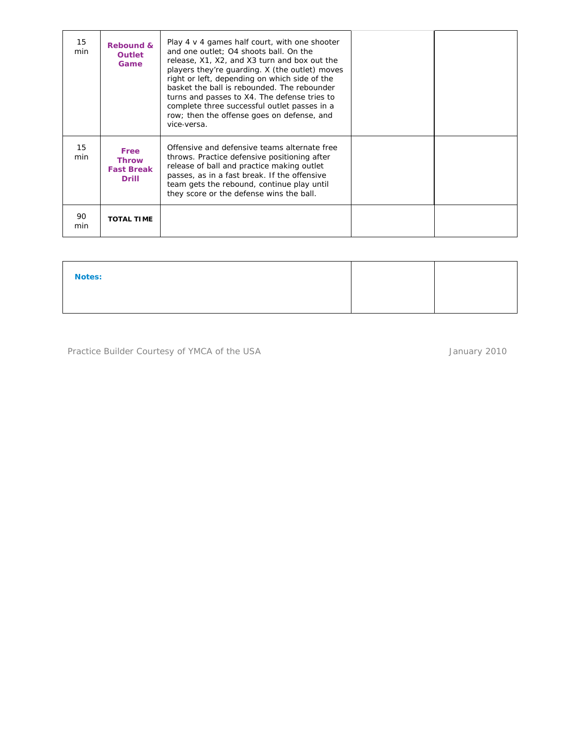| 15<br>min | <b>Rebound &amp;</b><br><b>Outlet</b><br>Game             | Play $4 \vee 4$ games half court, with one shooter<br>and one outlet; O4 shoots ball. On the<br>release, X1, X2, and X3 turn and box out the<br>players they're quarding. X (the outlet) moves<br>right or left, depending on which side of the<br>basket the ball is rebounded. The rebounder<br>turns and passes to X4. The defense tries to<br>complete three successful outlet passes in a<br>row; then the offense goes on defense, and<br>vice-versa. |  |
|-----------|-----------------------------------------------------------|-------------------------------------------------------------------------------------------------------------------------------------------------------------------------------------------------------------------------------------------------------------------------------------------------------------------------------------------------------------------------------------------------------------------------------------------------------------|--|
| 15<br>min | Free<br><b>Throw</b><br><b>Fast Break</b><br><b>Drill</b> | Offensive and defensive teams alternate free<br>throws. Practice defensive positioning after<br>release of ball and practice making outlet<br>passes, as in a fast break. If the offensive<br>team gets the rebound, continue play until<br>they score or the defense wins the ball.                                                                                                                                                                        |  |
| 90<br>min | <b>TOTAL TIME</b>                                         |                                                                                                                                                                                                                                                                                                                                                                                                                                                             |  |

| <b>Notes:</b> |  |
|---------------|--|
|               |  |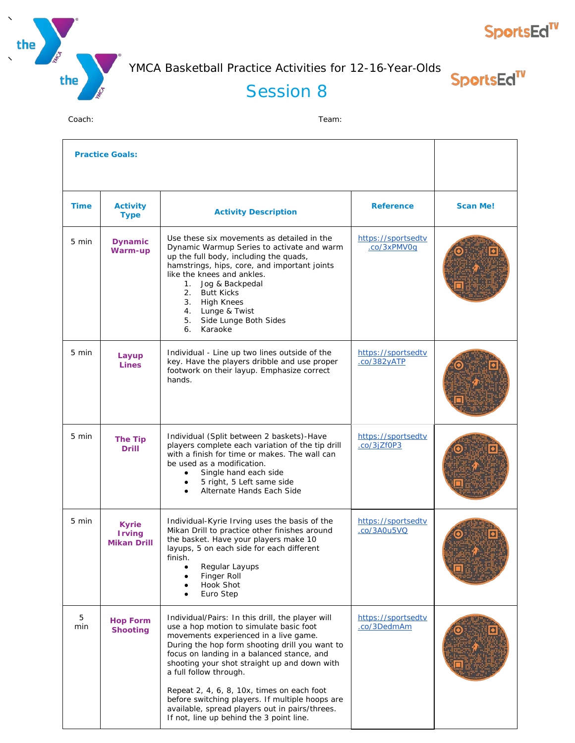



SportsEd<sup>TV</sup>

## Session 8

| <b>Practice Goals:</b> |                                                     |                                                                                                                                                                                                                                                                                                                                                                                                                                                                                                               |                                           |                 |
|------------------------|-----------------------------------------------------|---------------------------------------------------------------------------------------------------------------------------------------------------------------------------------------------------------------------------------------------------------------------------------------------------------------------------------------------------------------------------------------------------------------------------------------------------------------------------------------------------------------|-------------------------------------------|-----------------|
| <b>Time</b>            | <b>Activity</b><br><b>Type</b>                      | <b>Activity Description</b>                                                                                                                                                                                                                                                                                                                                                                                                                                                                                   | <b>Reference</b>                          | <b>Scan Me!</b> |
| 5 min                  | <b>Dynamic</b><br>Warm-up                           | Use these six movements as detailed in the<br>Dynamic Warmup Series to activate and warm<br>up the full body, including the quads,<br>hamstrings, hips, core, and important joints<br>like the knees and ankles.<br>1. Jog & Backpedal<br>2.<br><b>Butt Kicks</b><br>3.<br><b>High Knees</b><br>4. Lunge & Twist<br>Side Lunge Both Sides<br>5.<br>Karaoke<br>6.                                                                                                                                              | https://sportsedtv<br>.co/3xPMV0q         |                 |
| 5 min                  | Layup<br><b>Lines</b>                               | Individual - Line up two lines outside of the<br>key. Have the players dribble and use proper<br>footwork on their layup. Emphasize correct<br>hands.                                                                                                                                                                                                                                                                                                                                                         | https://sportsedtv<br>$.$ $co/382$ $VATP$ |                 |
| 5 min                  | <b>The Tip</b><br><b>Drill</b>                      | Individual (Split between 2 baskets)-Have<br>players complete each variation of the tip drill<br>with a finish for time or makes. The wall can<br>be used as a modification.<br>Single hand each side<br>$\bullet$<br>5 right, 5 Left same side<br>Alternate Hands Each Side                                                                                                                                                                                                                                  | https://sportsedtv<br>.co/3jZf0P3         |                 |
| 5 min                  | <b>Kyrie</b><br><b>Irving</b><br><b>Mikan Drill</b> | Individual-Kyrie Irving uses the basis of the<br>Mikan Drill to practice other finishes around<br>the basket. Have your players make 10<br>layups, 5 on each side for each different<br>finish.<br>Regular Layups<br>Finger Roll<br>Hook Shot<br>Euro Step                                                                                                                                                                                                                                                    | https://sportsedtv<br>.co/3A0u5VQ         |                 |
| 5<br>min               | <b>Hop Form</b><br><b>Shooting</b>                  | Individual/Pairs: In this drill, the player will<br>use a hop motion to simulate basic foot<br>movements experienced in a live game.<br>During the hop form shooting drill you want to<br>focus on landing in a balanced stance, and<br>shooting your shot straight up and down with<br>a full follow through.<br>Repeat 2, 4, 6, 8, 10x, times on each foot<br>before switching players. If multiple hoops are<br>available, spread players out in pairs/threes.<br>If not, line up behind the 3 point line. | https://sportsedtv<br>.co/3DedmAm         |                 |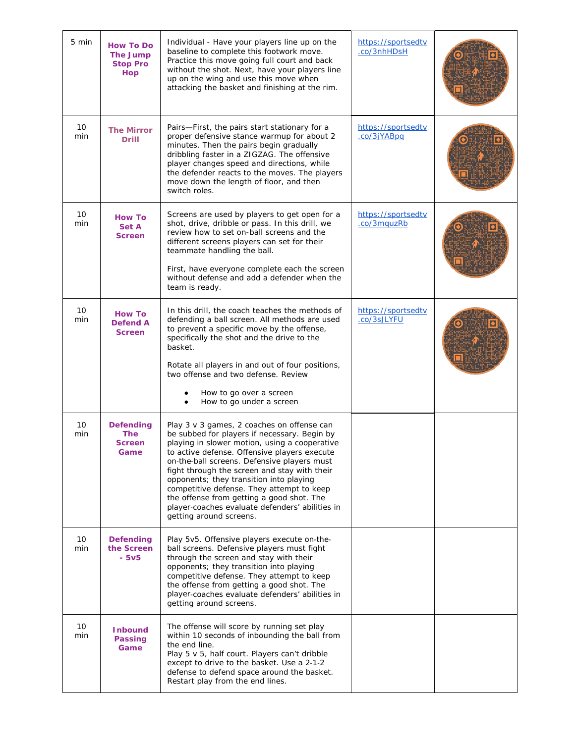| 5 min     | <b>How To Do</b><br><b>The Jump</b><br><b>Stop Pro</b><br><b>Hop</b> | Individual - Have your players line up on the<br>baseline to complete this footwork move.<br>Practice this move going full court and back<br>without the shot. Next, have your players line<br>up on the wing and use this move when<br>attacking the basket and finishing at the rim.                                                                                                                                                                                                                        | https://sportsedtv<br>.co/3nhHDsH |  |
|-----------|----------------------------------------------------------------------|---------------------------------------------------------------------------------------------------------------------------------------------------------------------------------------------------------------------------------------------------------------------------------------------------------------------------------------------------------------------------------------------------------------------------------------------------------------------------------------------------------------|-----------------------------------|--|
| 10<br>min | <b>The Mirror</b><br><b>Drill</b>                                    | Pairs-First, the pairs start stationary for a<br>proper defensive stance warmup for about 2<br>minutes. Then the pairs begin gradually<br>dribbling faster in a ZIGZAG. The offensive<br>player changes speed and directions, while<br>the defender reacts to the moves. The players<br>move down the length of floor, and then<br>switch roles.                                                                                                                                                              | https://sportsedtv<br>.co/3jYABpq |  |
| 10<br>min | <b>How To</b><br>Set A<br><b>Screen</b>                              | Screens are used by players to get open for a<br>shot, drive, dribble or pass. In this drill, we<br>review how to set on-ball screens and the<br>different screens players can set for their<br>teammate handling the ball.<br>First, have everyone complete each the screen<br>without defense and add a defender when the<br>team is ready.                                                                                                                                                                 | https://sportsedtv<br>.co/3mquzRb |  |
| 10<br>min | <b>How To</b><br><b>Defend A</b><br><b>Screen</b>                    | In this drill, the coach teaches the methods of<br>defending a ball screen. All methods are used<br>to prevent a specific move by the offense,<br>specifically the shot and the drive to the<br>basket.<br>Rotate all players in and out of four positions,<br>two offense and two defense. Review<br>How to go over a screen<br>How to go under a screen                                                                                                                                                     | https://sportsedtv<br>.co/3sJLYFU |  |
| 10<br>min | <b>Defending</b><br><b>The</b><br><b>Screen</b><br>Game              | Play 3 v 3 games, 2 coaches on offense can<br>be subbed for players if necessary. Begin by<br>playing in slower motion, using a cooperative<br>to active defense. Offensive players execute<br>on-the-ball screens. Defensive players must<br>fight through the screen and stay with their<br>opponents; they transition into playing<br>competitive defense. They attempt to keep<br>the offense from getting a good shot. The<br>player-coaches evaluate defenders' abilities in<br>getting around screens. |                                   |  |
| 10<br>min | <b>Defending</b><br>the Screen<br>- 5v5                              | Play 5v5. Offensive players execute on-the-<br>ball screens. Defensive players must fight<br>through the screen and stay with their<br>opponents; they transition into playing<br>competitive defense. They attempt to keep<br>the offense from getting a good shot. The<br>player-coaches evaluate defenders' abilities in<br>getting around screens.                                                                                                                                                        |                                   |  |
| 10<br>min | <b>Inbound</b><br><b>Passing</b><br>Game                             | The offense will score by running set play<br>within 10 seconds of inbounding the ball from<br>the end line.<br>Play 5 v 5, half court. Players can't dribble<br>except to drive to the basket. Use a 2-1-2<br>defense to defend space around the basket.<br>Restart play from the end lines.                                                                                                                                                                                                                 |                                   |  |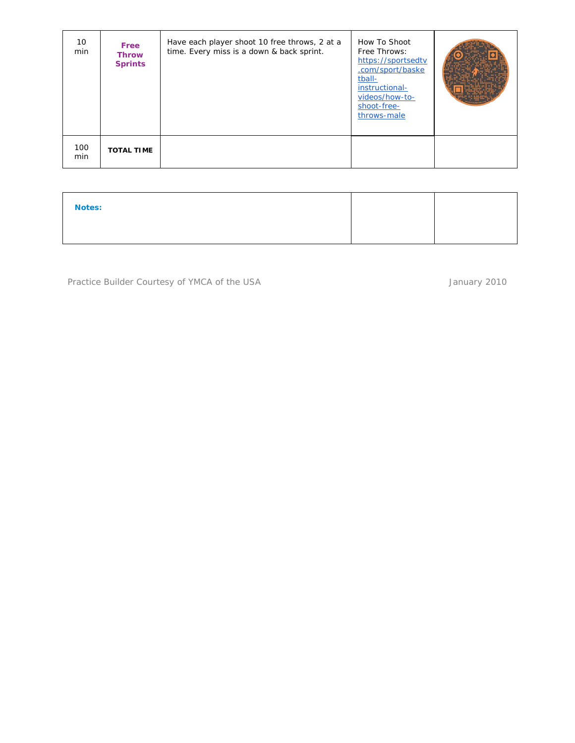| 10<br>min  | Free<br><b>Throw</b><br><b>Sprints</b> | Have each player shoot 10 free throws, 2 at a<br>time. Every miss is a down & back sprint. | How To Shoot<br>Free Throws:<br>https://sportsedtv<br>.com/sport/baske<br>tball-<br>instructional-<br>videos/how-to-<br>shoot-free-<br>throws-male |  |
|------------|----------------------------------------|--------------------------------------------------------------------------------------------|----------------------------------------------------------------------------------------------------------------------------------------------------|--|
| 100<br>min | <b>TOTAL TIME</b>                      |                                                                                            |                                                                                                                                                    |  |

| <b>Notes:</b> |  |
|---------------|--|
|               |  |

Practice Builder Courtesy of YMCA of the USA January 2010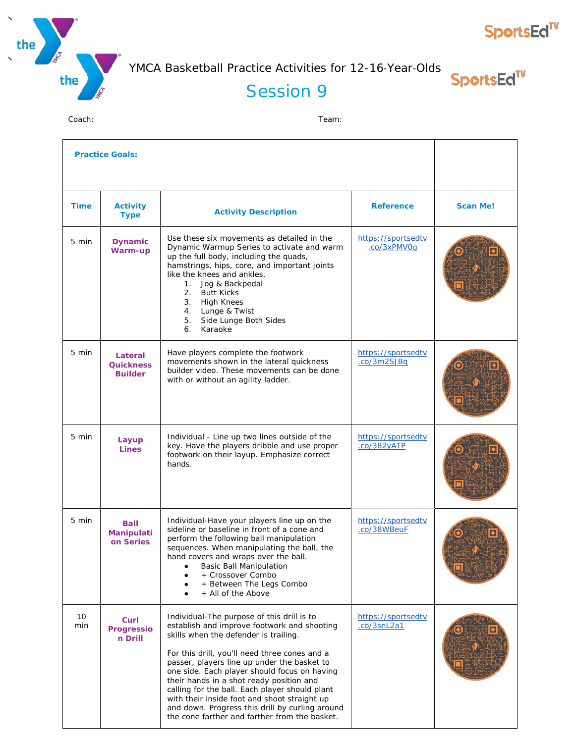



SportsEd<sup>TV</sup>

## Session 9

| <b>Practice Goals:</b> |                                               |                                                                                                                                                                                                                                                                                                                                                                                                                                                                                                                                      |                                   |                 |
|------------------------|-----------------------------------------------|--------------------------------------------------------------------------------------------------------------------------------------------------------------------------------------------------------------------------------------------------------------------------------------------------------------------------------------------------------------------------------------------------------------------------------------------------------------------------------------------------------------------------------------|-----------------------------------|-----------------|
| <b>Time</b>            | <b>Activity</b><br><b>Type</b>                | <b>Activity Description</b>                                                                                                                                                                                                                                                                                                                                                                                                                                                                                                          | <b>Reference</b>                  | <b>Scan Me!</b> |
| 5 min                  | <b>Dynamic</b><br>Warm-up                     | Use these six movements as detailed in the<br>Dynamic Warmup Series to activate and warm<br>up the full body, including the quads,<br>hamstrings, hips, core, and important joints<br>like the knees and ankles.<br>Jog & Backpedal<br>1.<br>2.<br><b>Butt Kicks</b><br>3.<br><b>High Knees</b><br>4. Lunge & Twist<br>Side Lunge Both Sides<br>5.<br>Karaoke<br>6.                                                                                                                                                                  | https://sportsedtv<br>.co/3xPMV0g |                 |
| 5 min                  | Lateral<br><b>Quickness</b><br><b>Builder</b> | Have players complete the footwork<br>movements shown in the lateral quickness<br>builder video. These movements can be done<br>with or without an agility ladder.                                                                                                                                                                                                                                                                                                                                                                   | https://sportsedtv<br>.co/3m2SJBq |                 |
| 5 min                  | Layup<br><b>Lines</b>                         | Individual - Line up two lines outside of the<br>key. Have the players dribble and use proper<br>footwork on their layup. Emphasize correct<br>hands.                                                                                                                                                                                                                                                                                                                                                                                | https://sportsedtv<br>.co/382yATP |                 |
| 5 min                  | <b>Ball</b><br>Manipulati<br>on Series        | Individual-Have your players line up on the<br>sideline or baseline in front of a cone and<br>perform the following ball manipulation<br>sequences. When manipulating the ball, the<br>hand covers and wraps over the ball.<br><b>Basic Ball Manipulation</b><br>+ Crossover Combo<br>+ Between The Legs Combo<br>+ All of the Above                                                                                                                                                                                                 | https://sportsedtv<br>.co/38WBeuF |                 |
| 10<br>min              | Curl<br><b>Progressio</b><br>n Drill          | Individual-The purpose of this drill is to<br>establish and improve footwork and shooting<br>skills when the defender is trailing.<br>For this drill, you'll need three cones and a<br>passer, players line up under the basket to<br>one side. Each player should focus on having<br>their hands in a shot ready position and<br>calling for the ball. Each player should plant<br>with their inside foot and shoot straight up<br>and down. Progress this drill by curling around<br>the cone farther and farther from the basket. | https://sportsedtv<br>.co/3snL2a1 |                 |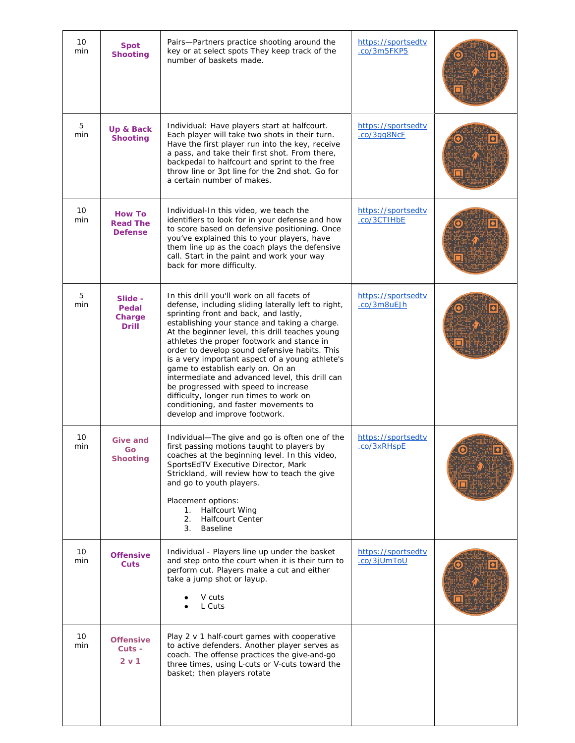| 10<br>min | <b>Spot</b><br><b>Shooting</b>                     | Pairs-Partners practice shooting around the<br>key or at select spots They keep track of the<br>number of baskets made.                                                                                                                                                                                                                                                                                                                                                                                                                                                                                                                               | https://sportsedtv<br>.co/3m5FKP5 |  |
|-----------|----------------------------------------------------|-------------------------------------------------------------------------------------------------------------------------------------------------------------------------------------------------------------------------------------------------------------------------------------------------------------------------------------------------------------------------------------------------------------------------------------------------------------------------------------------------------------------------------------------------------------------------------------------------------------------------------------------------------|-----------------------------------|--|
| 5<br>min  | Up & Back<br><b>Shooting</b>                       | Individual: Have players start at halfcourt.<br>Each player will take two shots in their turn.<br>Have the first player run into the key, receive<br>a pass, and take their first shot. From there,<br>backpedal to halfcourt and sprint to the free<br>throw line or 3pt line for the 2nd shot. Go for<br>a certain number of makes.                                                                                                                                                                                                                                                                                                                 | https://sportsedtv<br>.co/3gg8NcF |  |
| 10<br>min | <b>How To</b><br><b>Read The</b><br><b>Defense</b> | Individual-In this video, we teach the<br>identifiers to look for in your defense and how<br>to score based on defensive positioning. Once<br>you've explained this to your players, have<br>them line up as the coach plays the defensive<br>call. Start in the paint and work your way<br>back for more difficulty.                                                                                                                                                                                                                                                                                                                                 | https://sportsedtv<br>.co/3CTIHbE |  |
| 5<br>min  | Slide -<br>Pedal<br>Charge<br><b>Drill</b>         | In this drill you'll work on all facets of<br>defense, including sliding laterally left to right,<br>sprinting front and back, and lastly,<br>establishing your stance and taking a charge.<br>At the beginner level, this drill teaches young<br>athletes the proper footwork and stance in<br>order to develop sound defensive habits. This<br>is a very important aspect of a young athlete's<br>game to establish early on. On an<br>intermediate and advanced level, this drill can<br>be progressed with speed to increase<br>difficulty, longer run times to work on<br>conditioning, and faster movements to<br>develop and improve footwork. | https://sportsedtv<br>.co/3m8uEJh |  |
| 10<br>min | Give and<br>Go<br><b>Shooting</b>                  | Individual-The give and go is often one of the<br>first passing motions taught to players by<br>coaches at the beginning level. In this video,<br>SportsEdTV Executive Director, Mark<br>Strickland, will review how to teach the give<br>and go to youth players.<br>Placement options:<br><b>Halfcourt Wing</b><br>1.<br>2.<br><b>Halfcourt Center</b><br>3.<br><b>Baseline</b>                                                                                                                                                                                                                                                                     | https://sportsedtv<br>co/3xRHspE  |  |
| 10<br>min | <b>Offensive</b><br>Cuts                           | Individual - Players line up under the basket<br>and step onto the court when it is their turn to<br>perform cut. Players make a cut and either<br>take a jump shot or layup.<br>V cuts<br>L Cuts                                                                                                                                                                                                                                                                                                                                                                                                                                                     | https://sportsedtv<br>.co/3jUmToU |  |
| 10<br>min | <b>Offensive</b><br>Cuts -<br>2 v 1                | Play 2 v 1 half-court games with cooperative<br>to active defenders. Another player serves as<br>coach. The offense practices the give-and-go<br>three times, using L-cuts or V-cuts toward the<br>basket; then players rotate                                                                                                                                                                                                                                                                                                                                                                                                                        |                                   |  |